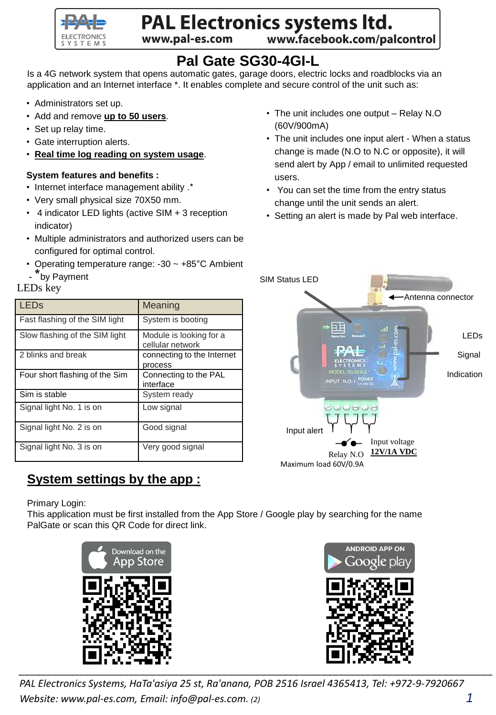

# PAL Electronics systems ltd.

www.pal-es.com

www.facebook.com/palcontrol

## **Pal Gate SG30-4GI-L**

Is a 4G network system that opens automatic gates, garage doors, electric locks and roadblocks via an application and an Internet interface \*. It enables complete and secure control of the unit such as:

- Administrators set up.
- Add and remove **up to 50 users**.
- Set up relay time.
- Gate interruption alerts.
- **Real time log reading on system usage**.

#### **System features and benefits :**

- Internet interface management ability .\*
- Very small physical size 70X50 mm.
- 4 indicator LED lights (active SIM + 3 reception indicator)
- Multiple administrators and authorized users can be configured for optimal control.
- Operating temperature range: -30 ~ +85°C Ambient
- <sup>\*</sup>by Payment

### LEDs key

| <b>LED<sub>s</sub></b>         | Meaning                                     |
|--------------------------------|---------------------------------------------|
| Fast flashing of the SIM light | System is booting                           |
| Slow flashing of the SIM light | Module is looking for a<br>cellular network |
| 2 blinks and break             | connecting to the Internet<br>process       |
| Four short flashing of the Sim | Connecting to the PAL<br>interface          |
| Sim is stable                  | System ready                                |
| Signal light No. 1 is on       | Low signal                                  |
| Signal light No. 2 is on       | Good signal                                 |
| Signal light No. 3 is on       | Very good signal                            |

## **System settings by the app :**

Primary Login:

This application must be first installed from the App Store / Google play by searching for the name PalGate or scan this QR Code for direct link.





*PAL Electronics Systems, HaTa'asiya 25 st, Ra'anana, POB 2516 Israel 4365413, Tel: +972-9-7920667 Website: www.pal-es.com, Email: info@pal-es.com. (2) 1*

- The unit includes one output Relay N.O (60V/900mA)
- The unit includes one input alert When a status change is made (N.O to N.C or opposite), it will send alert by App / email to unlimited requested users.
- You can set the time from the entry status change until the unit sends an alert.
- Setting an alert is made by Pal web interface.